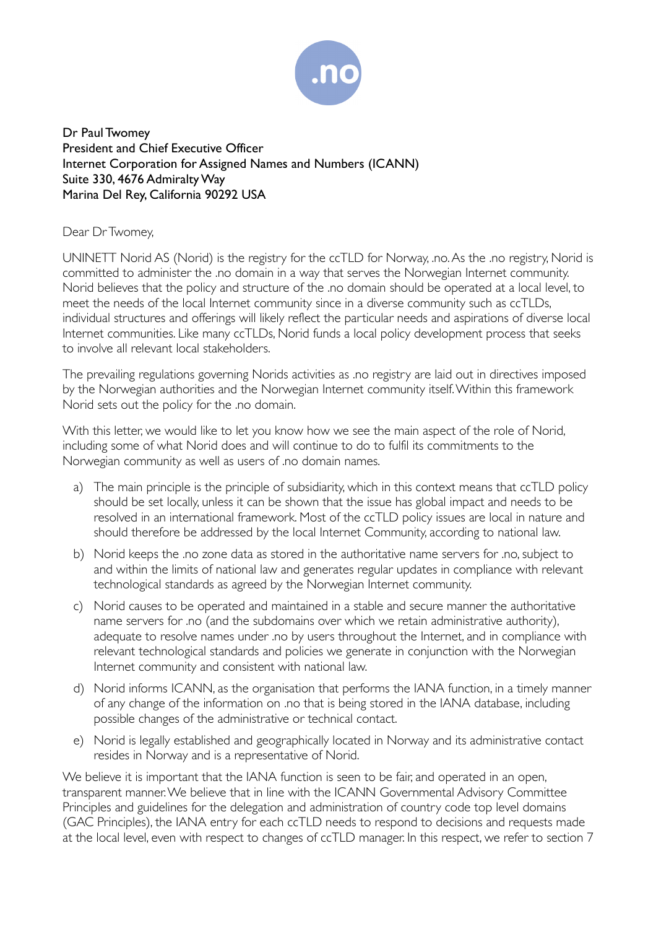

Dr Paul Twomey President and Chief Executive Officer Internet Corporation for Assigned Names and Numbers (ICANN) Suite 330, 4676 AdmiraltyWay Marina Del Rey, California 90292 USA

## Dear Dr Twomey,

UNINETT Norid AS (Norid) is the registry for the ccTLD for Norway, .no.As the .no registry, Norid is committed to administer the .no domain in a way that serves the Norwegian Internet community. Norid believes that the policy and structure of the .no domain should be operated at a local level, to meet the needs of the local Internet community since in a diverse community such as ccTLDs, individual structures and offerings will likely reflect the particular needs and aspirations of diverse local Internet communities. Like many ccTLDs, Norid funds a local policy development process that seeks to involve all relevant local stakeholders.

The prevailing regulations governing Norids activities as .no registry are laid out in directives imposed by the Norwegian authorities and the Norwegian Internet community itself.Within this framework Norid sets out the policy for the .no domain.

With this letter, we would like to let you know how we see the main aspect of the role of Norid, including some of what Norid does and will continue to do to fulfil its commitments to the Norwegian community as well as users of .no domain names.

- a) The main principle is the principle of subsidiarity, which in this context means that ccTLD policy should be set locally, unless it can be shown that the issue has global impact and needs to be resolved in an international framework. Most of the ccTLD policy issues are local in nature and should therefore be addressed by the local Internet Community, according to national law.
- b) Norid keeps the .no zone data as stored in the authoritative name servers for .no, subject to and within the limits of national law and generates regular updates in compliance with relevant technological standards as agreed by the Norwegian Internet community.
- c) Norid causes to be operated and maintained in a stable and secure manner the authoritative name servers for .no (and the subdomains over which we retain administrative authority), adequate to resolve names under .no by users throughout the Internet, and in compliance with relevant technological standards and policies we generate in conjunction with the Norwegian Internet community and consistent with national law.
- d) Norid informs ICANN, as the organisation that performs the IANA function, in a timely manner of any change of the information on .no that is being stored in the IANA database, including possible changes of the administrative or technical contact.
- e) Norid is legally established and geographically located in Norway and its administrative contact resides in Norway and is a representative of Norid.

We believe it is important that the IANA function is seen to be fair, and operated in an open, transparent manner.We believe that in line with the ICANN Governmental Advisory Committee Principles and guidelines for the delegation and administration of country code top level domains (GAC Principles), the IANA entry for each ccTLD needs to respond to decisions and requests made at the local level, even with respect to changes of ccTLD manager. In this respect, we refer to section 7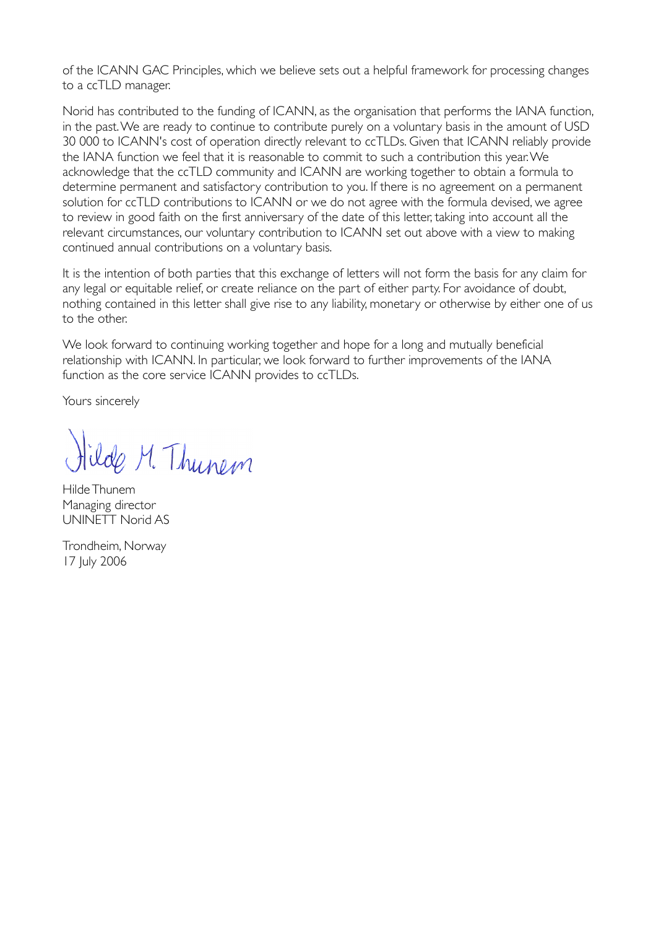of the ICANN GAC Principles, which we believe sets out a helpful framework for processing changes to a ccTLD manager.

Norid has contributed to the funding of ICANN, as the organisation that performs the IANA function, in the past.We are ready to continue to contribute purely on a voluntary basis in the amount of USD 30 000 to ICANN's cost of operation directly relevant to ccTLDs. Given that ICANN reliably provide the IANA function we feel that it is reasonable to commit to such a contribution this year.We acknowledge that the ccTLD community and ICANN are working together to obtain a formula to determine permanent and satisfactory contribution to you. If there is no agreement on a permanent solution for ccTLD contributions to ICANN or we do not agree with the formula devised, we agree to review in good faith on the first anniversary of the date of this letter, taking into account all the relevant circumstances, our voluntary contribution to ICANN set out above with a view to making continued annual contributions on a voluntary basis.

It is the intention of both parties that this exchange of letters will not form the basis for any claim for any legal or equitable relief, or create reliance on the part of either party. For avoidance of doubt, nothing contained in this letter shall give rise to any liability, monetary or otherwise by either one of us to the other.

We look forward to continuing working together and hope for a long and mutually beneficial relationship with ICANN. In particular, we look forward to further improvements of the IANA function as the core service ICANN provides to ccTLDs.

Yours sincerely

ilde M. Thunem

Hilde Thunem Managing director UNINETT Norid AS

Trondheim, Norway 17 July 2006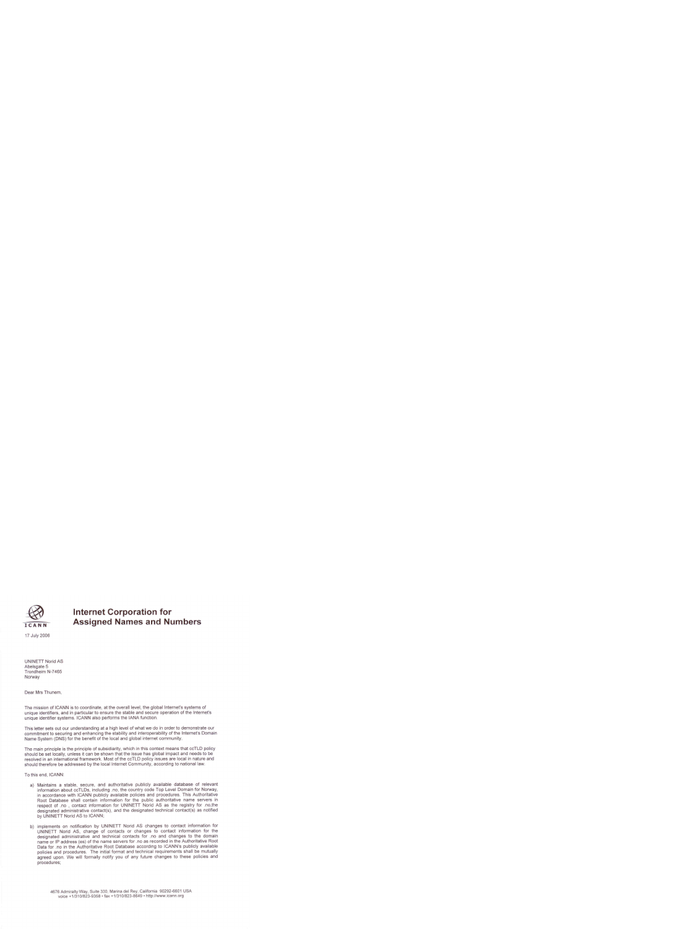

## **Internet Corporation for Assigned Names and Numbers**

**UNINETT Norid AS** Abelsgate 5 Trondheim N-7465 Norway

Dear Mrs Thunem,

The mission of ICANN is to coordinate, at the overall level, the global Internet's systems of unique identifiers, and in particular to ensure the stable and secure operation of the Internet's unique identifier systems. ICANN also performs the IANA function.

This letter sets out our understanding at a high level of what we do in order to demonstrate our commitment to securing and enhancing the stability and interoperability of the Internet's Domain Name System (DNS) for the benefit of the local and global internet community.

The main principle is the principle of subsidiarity, which in this context means that ccTLD policy should be set locally, unless it can be shown that the issue has global impact and needs to be resolved in an international framework. Most of the ccTLD policy issues are local in nature and should therefore be addressed by the local Internet Community, according to national law.

To this end, ICANN:

- a) Maintains a stable, secure, and authoritative publicly available database of relevant information about ccTLDs, including .no, the country code Top Level Domain for Norway, in accordance with ICANN publicly available policies and procedures. This Authoritative Root Database shall contain information for the public authoritative name servers in respect of .no , contact information for UNINETT Norid AS as the registry for .no,the designated administrative contact(s), and the designated technical contact(s) as notified by UNINETT Norid AS to ICANN:
- b) implements on notification by UNINETT Norid AS changes to contact information for UNINETT Norid AS, change of contacts or changes to contact information for the designated administrative and technical contacts for .no and changes to the domain name or IP address (es) of the name servers for .no as recorded in the Authoritative Root Data for .no in the Authoritative Root Database according to ICANN's publicly available policies and procedures. The initial format and technical requirements shall be mutually agreed upon. We will formally notify you of any future changes to these policies and procedures;

4676 Admiralty Way, Suite 330, Marina del Rey, California 90292-6601 USA voice +1/310/823-9358 · fax +1/310/823-8649 · http://www.icann.org